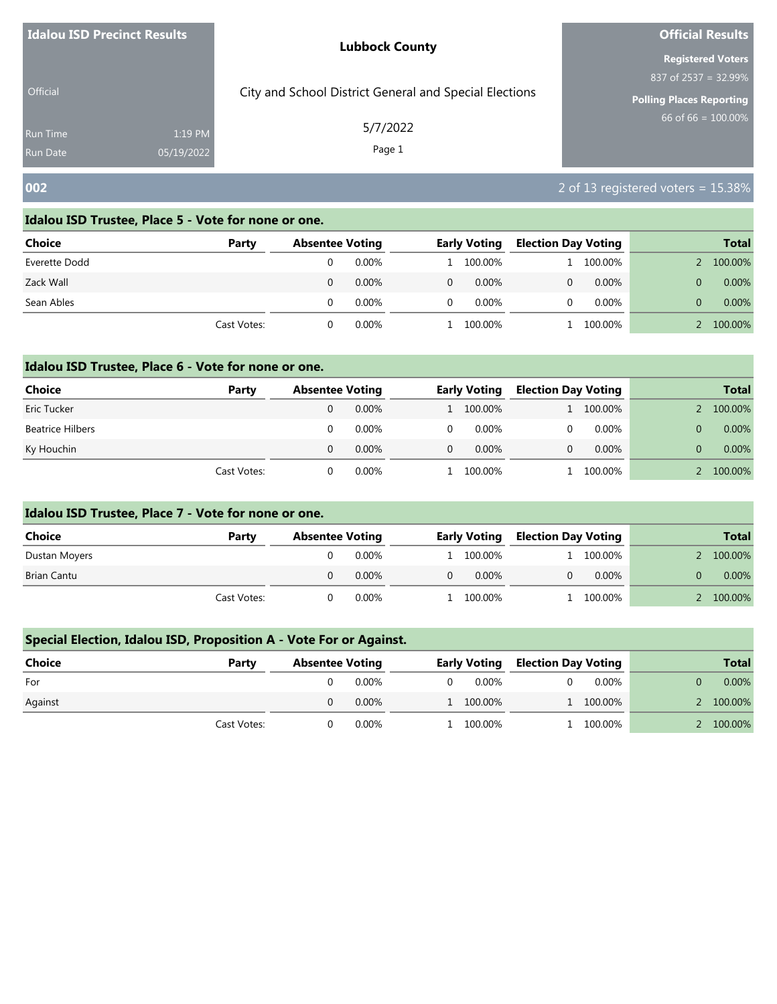| Idalou ISD Precinct Results |            | <b>Lubbock County</b>                                  | <b>Official Results</b>                          |
|-----------------------------|------------|--------------------------------------------------------|--------------------------------------------------|
|                             |            |                                                        | <b>Registered Voters</b><br>837 of 2537 = 32.99% |
| <b>Official</b>             |            | City and School District General and Special Elections | <b>Polling Places Reporting</b>                  |
| <b>Run Time</b>             | 1:19 PM    | 5/7/2022<br>Page 1                                     | $66$ of 66 = 100.00%                             |
| <b>Run Date</b>             | 05/19/2022 |                                                        |                                                  |
| 002                         |            |                                                        | 2 of 13 registered voters = $15.38\%$            |

| <b>Choice</b> | Party       | <b>Absentee Voting</b> |          |          | <b>Early Voting</b> | <b>Election Day Voting</b> |          | <b>Total</b> |
|---------------|-------------|------------------------|----------|----------|---------------------|----------------------------|----------|--------------|
| Everette Dodd |             |                        | 0.00%    |          | 1 100.00%           |                            | 100.00%  | 100.00%      |
| Zack Wall     |             |                        | 0.00%    | $\Omega$ | $0.00\%$            | 0                          | $0.00\%$ | 0.00%        |
| Sean Ables    |             |                        | 0.00%    | $\Omega$ | $0.00\%$            | 0                          | 0.00%    | 0.00%        |
|               | Cast Votes: |                        | $0.00\%$ |          | 100.00%             |                            | 100.00%  | 100.00%      |

# **Idalou ISD Trustee, Place 6 - Vote for none or one.**

| Choice                  | Party       | <b>Absentee Voting</b> |          |   | <b>Early Voting</b> | <b>Election Day Voting</b> |          | <b>Total</b> |
|-------------------------|-------------|------------------------|----------|---|---------------------|----------------------------|----------|--------------|
| Eric Tucker             |             |                        | $0.00\%$ |   | 1 100.00%           |                            | 100.00%  | 100.00%      |
| <b>Beatrice Hilbers</b> |             |                        | 0.00%    | 0 | $0.00\%$            |                            | 0.00%    | $0.00\%$     |
| Ky Houchin              |             |                        | $0.00\%$ | 0 | $0.00\%$            |                            | $0.00\%$ | 0.00%        |
|                         | Cast Votes: |                        | $0.00\%$ |   | 100.00%             |                            | 100.00%  | 100.00%      |

# **Idalou ISD Trustee, Place 7 - Vote for none or one.**

| Choice        | Party       | <b>Absentee Voting</b> |          |          | <b>Early Voting</b> | <b>Election Day Voting</b> |          |               | <b>Total</b> |
|---------------|-------------|------------------------|----------|----------|---------------------|----------------------------|----------|---------------|--------------|
| Dustan Moyers |             |                        | $0.00\%$ |          | l 100.00%           |                            | 100.00%  | $\mathcal{P}$ | 100.00%      |
| Brian Cantu   |             |                        | $0.00\%$ | $\Omega$ | $0.00\%$            |                            | $0.00\%$ |               | $0.00\%$     |
|               | Cast Votes: |                        | $0.00\%$ |          | 100.00%             |                            | 100.00%  |               | 100.00%      |

# **Special Election, Idalou ISD, Proposition A - Vote For or Against.**

| Choice  | Party       | <b>Absentee Voting</b> |          | <b>Early Voting</b> | <b>Election Day Voting</b> |           | <b>Total</b> |
|---------|-------------|------------------------|----------|---------------------|----------------------------|-----------|--------------|
| For     |             |                        | $0.00\%$ | 0.00%               |                            | $0.00\%$  | $0.00\%$     |
| Against |             |                        | $0.00\%$ | 1 100.00%           |                            | 1 100.00% | 2 100.00%    |
|         | Cast Votes: |                        | $0.00\%$ | 1 100.00%           |                            | 100.00%   | 100.00%      |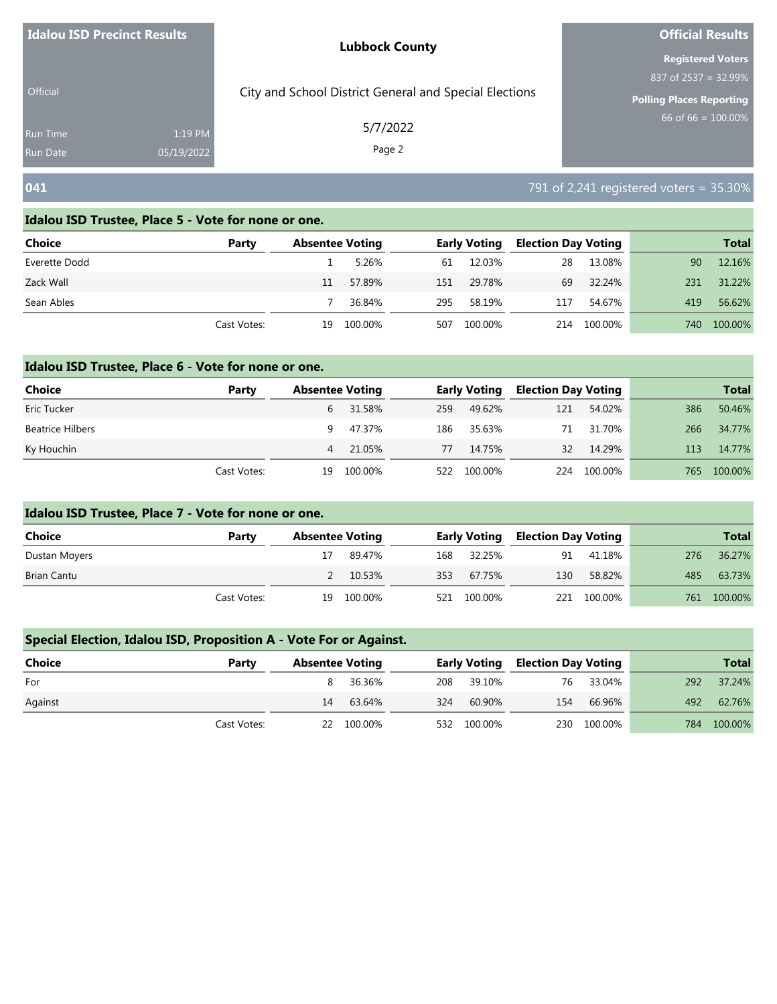| Idalou ISD Precinct Results        |                       | <b>Lubbock County</b>                                  | <b>Official Results</b>                                    |
|------------------------------------|-----------------------|--------------------------------------------------------|------------------------------------------------------------|
|                                    |                       |                                                        | <b>Registered Voters</b>                                   |
| <b>Official</b>                    |                       | City and School District General and Special Elections | 837 of $2537 = 32.99\%$<br><b>Polling Places Reporting</b> |
| <b>Run Time</b><br><b>Run Date</b> | 1:19 PM<br>05/19/2022 | 5/7/2022<br>Page 2                                     | 66 of 66 = $100.00\%$                                      |
| 041                                |                       |                                                        | 791 of 2,241 registered voters = 35.30%                    |

| <b>Choice</b> | Party       | <b>Absentee Voting</b> |         |     | <b>Early Voting</b> | <b>Election Day Voting</b> |         |     | <b>Total</b> |
|---------------|-------------|------------------------|---------|-----|---------------------|----------------------------|---------|-----|--------------|
| Everette Dodd |             |                        | 5.26%   | 61  | 12.03%              | 28                         | 13.08%  | 90  | 12.16%       |
| Zack Wall     |             | 11                     | 57.89%  | 151 | 29.78%              | 69                         | 32.24%  | 231 | 31.22%       |
| Sean Ables    |             |                        | 36.84%  | 295 | 58.19%              | 117                        | 54.67%  | 419 | 56.62%       |
|               | Cast Votes: | 19                     | 100.00% | 507 | 100.00%             | 214                        | 100.00% | 740 | 100.00%      |

## **Idalou ISD Trustee, Place 6 - Vote for none or one.**

| <b>Choice</b>           | Party       | <b>Absentee Voting</b> |         |     | <b>Early Voting</b> | <b>Election Day Voting</b> |         |     | <b>Total</b> |
|-------------------------|-------------|------------------------|---------|-----|---------------------|----------------------------|---------|-----|--------------|
| Eric Tucker             |             | 6                      | 31.58%  | 259 | 49.62%              | 121                        | 54.02%  | 386 | 50.46%       |
| <b>Beatrice Hilbers</b> |             | 9                      | 47.37%  | 186 | 35.63%              | 71                         | 31.70%  | 266 | 34.77%       |
| Ky Houchin              |             | 4                      | 21.05%  | 77  | 14.75%              | 32                         | 14.29%  | 113 | 14.77%       |
|                         | Cast Votes: | 19                     | 100.00% | 522 | 100.00%             | 224                        | 100.00% | 765 | 100.00%      |

# **Idalou ISD Trustee, Place 7 - Vote for none or one.**

| <b>Choice</b> | Party       | <b>Absentee Voting</b> |            |     | Early Voting | , Election Day Voting |             |     | <b>Total</b> |
|---------------|-------------|------------------------|------------|-----|--------------|-----------------------|-------------|-----|--------------|
| Dustan Moyers |             | 17                     | 89.47%     |     | 168 32.25%   | 91                    | 41.18%      | 276 | 36.27%       |
| Brian Cantu   |             |                        | 2 10.53%   | 353 | 67.75%       | 130                   | 58.82%      | 485 | 63.73%       |
|               | Cast Votes: |                        | 19 100.00% |     | 521 100.00%  |                       | 221 100.00% | 761 | 100.00%      |

# **Special Election, Idalou ISD, Proposition A - Vote For or Against.**

| <b>Choice</b> | Party       | <b>Absentee Voting</b> |            |     |             | <b>Early Voting Election Day Voting</b> |             |     | <b>Total</b> |
|---------------|-------------|------------------------|------------|-----|-------------|-----------------------------------------|-------------|-----|--------------|
| For           |             |                        | 36.36%     |     | 208 39.10%  | 76                                      | 33.04%      | 292 | 37.24%       |
| Against       |             | 14                     | 63.64%     | 324 | 60.90%      | 154                                     | 66.96%      | 492 | 62.76%       |
|               | Cast Votes: |                        | 22 100.00% |     | 532 100.00% |                                         | 230 100.00% |     | 784 100.00%  |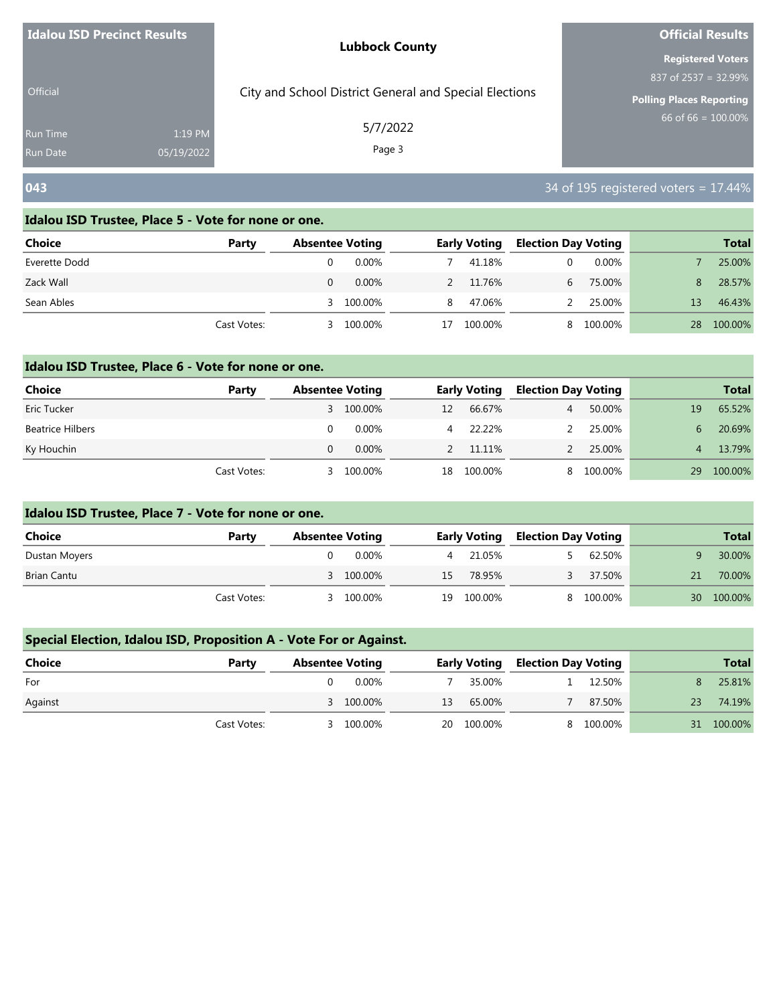| Idalou ISD Precinct Results        |                       | <b>Lubbock County</b>                                  | <b>Official Results</b>                                 |
|------------------------------------|-----------------------|--------------------------------------------------------|---------------------------------------------------------|
|                                    |                       |                                                        | <b>Registered Voters</b>                                |
| <b>Official</b>                    |                       | City and School District General and Special Elections | 837 of 2537 = 32.99%<br><b>Polling Places Reporting</b> |
| <b>Run Time</b><br><b>Run Date</b> | 1:19 PM<br>05/19/2022 | 5/7/2022<br>Page 3                                     | 66 of 66 = $100.00\%$                                   |
| 043                                |                       |                                                        | $34$ of 195 registered voters = 17.44%                  |

| <b>Choice</b> | Party       | <b>Absentee Voting</b> |          |    | <b>Early Voting</b> | <b>Election Day Voting</b> |         |                 | <b>Total</b> |
|---------------|-------------|------------------------|----------|----|---------------------|----------------------------|---------|-----------------|--------------|
| Everette Dodd |             |                        | $0.00\%$ |    | 41.18%              | 0                          | 0.00%   |                 | 25.00%       |
| Zack Wall     |             |                        | $0.00\%$ |    | 2 11.76%            | 6.                         | 75.00%  | 8.              | 28.57%       |
| Sean Ables    |             |                        | 100.00%  | 8  | 47.06%              |                            | 25.00%  | 13 <sup>°</sup> | 46.43%       |
|               | Cast Votes: | 3                      | 100.00%  | 17 | 100.00%             | 8                          | 100.00% | 28              | 100.00%      |

## **Idalou ISD Trustee, Place 6 - Vote for none or one.**

| Choice                  | Party       | <b>Absentee Voting</b> |           | <b>Early Voting</b> |          | <b>Election Day Voting</b> |         | <b>Total</b> |         |
|-------------------------|-------------|------------------------|-----------|---------------------|----------|----------------------------|---------|--------------|---------|
| Eric Tucker             |             |                        | 3 100.00% | 12                  | 66.67%   | $\overline{4}$             | 50.00%  | 19           | 65.52%  |
| <b>Beatrice Hilbers</b> |             |                        | 0.00%     | 4                   | 22.22%   |                            | 25.00%  | -6           | 20.69%  |
| Ky Houchin              |             |                        | $0.00\%$  |                     | 2 11.11% |                            | 25.00%  |              | 13.79%  |
|                         | Cast Votes: | ₹                      | 100.00%   | 18                  | 100.00%  | 8.                         | 100.00% | 29           | 100.00% |

# **Idalou ISD Trustee, Place 7 - Vote for none or one.**

| <b>Choice</b> | Party       | <b>Absentee Voting</b> |    | <b>Early Voting</b> |  | <b>Election Day Voting</b> |    |         |  | <b>Total</b> |
|---------------|-------------|------------------------|----|---------------------|--|----------------------------|----|---------|--|--------------|
| Dustan Moyers |             | 0.00%                  |    | 4 21.05%            |  | 62.50%                     | a  | 30.00%  |  |              |
| Brian Cantu   |             | 100.00%<br>$\prec$     | 15 | 78.95%              |  | 37.50%                     | 21 | 70.00%  |  |              |
|               | Cast Votes: | 100.00%                |    | 19 100.00%          |  | 8 100.00%                  | 30 | 100.00% |  |              |

# **Special Election, Idalou ISD, Proposition A - Vote For or Against.**

| <b>Choice</b> | Party       | <b>Absentee Voting</b> |           |    | <b>Early Voting</b> |  |           |    |         |  |  |  |  |  |  |  |  |  |  |  | <b>Election Day Voting</b> |  | <b>Total</b> |
|---------------|-------------|------------------------|-----------|----|---------------------|--|-----------|----|---------|--|--|--|--|--|--|--|--|--|--|--|----------------------------|--|--------------|
| For           |             |                        | 0.00%     |    | 35.00%              |  | 12.50%    | 8  | 25.81%  |  |  |  |  |  |  |  |  |  |  |  |                            |  |              |
| Against       |             |                        | 3 100.00% | 13 | 65.00%              |  | 87.50%    | 23 | 74.19%  |  |  |  |  |  |  |  |  |  |  |  |                            |  |              |
|               | Cast Votes: |                        | 3 100.00% |    | 20 100.00%          |  | 8 100.00% | 31 | 100.00% |  |  |  |  |  |  |  |  |  |  |  |                            |  |              |